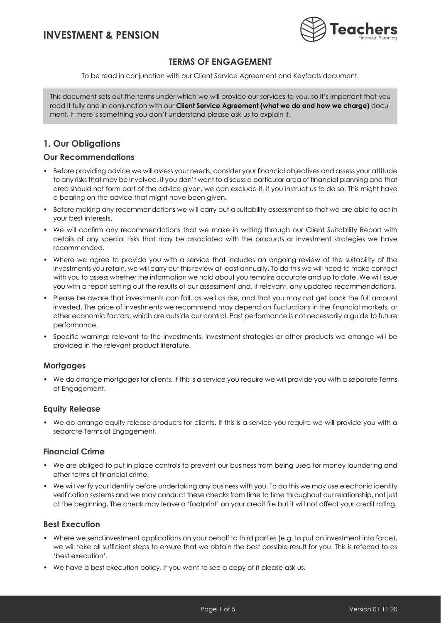

## **TERMS OF ENGAGEMENT**

To be read in conjunction with our Client Service Agreement and Keyfacts document.

This document sets out the terms under which we will provide our services to you, so it's important that you read it fully and in conjunction with our **Client Service Agreement (what we do and how we charge)** document. If there's something you don't understand please ask us to explain it.

# **1. Our Obligations**

### **Our Recommendations**

- Before providing advice we will assess your needs, consider your financial objectives and assess your attitude to any risks that may be involved. If you don't want to discuss a particular area of financial planning and that area should not form part of the advice given, we can exclude it, if you instruct us to do so. This might have a bearing on the advice that might have been given.
- Before making any recommendations we will carry out a suitability assessment so that we are able to act in your best interests.
- We will confirm any recommendations that we make in writing through our Client Suitability Report with details of any special risks that may be associated with the products or investment strategies we have recommended.
- Where we agree to provide you with a service that includes an ongoing review of the suitability of the investments you retain, we will carry out this review at least annually. To do this we will need to make contact with you to assess whether the information we hold about you remains accurate and up to date. We will issue you with a report setting out the results of our assessment and, if relevant, any updated recommendations.
- Please be aware that investments can fall, as well as rise, and that you may not get back the full amount invested. The price of investments we recommend may depend on fluctuations in the financial markets, or other economic factors, which are outside our control. Past performance is not necessarily a guide to future performance.
- Specific warnings relevant to the investments, investment strategies or other products we arrange will be provided in the relevant product literature.

### **Mortgages**

• We do arrange mortgages for clients. If this is a service you require we will provide you with a separate Terms of Engagement.

### **Equity Release**

• We do arrange equity release products for clients. If this is a service you require we will provide you with a separate Terms of Engagement.

### **Financial Crime**

- We are obliged to put in place controls to prevent our business from being used for money laundering and other forms of financial crime.
- We will verify your identity before undertaking any business with you. To do this we may use electronic identity verification systems and we may conduct these checks from time to time throughout our relationship, not just at the beginning. The check may leave a 'footprint' on your credit file but it will not affect your credit rating.

### **Best Execution**

- Where we send investment applications on your behalf to third parties (e.g. to put an investment into force), we will take all sufficient steps to ensure that we obtain the best possible result for you. This is referred to as 'best execution'.
- We have a best execution policy. If you want to see a copy of it please ask us.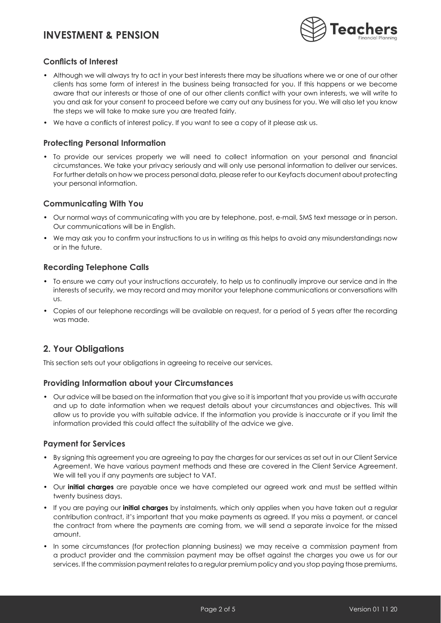

### **Conflicts of Interest**

- Although we will always try to act in your best interests there may be situations where we or one of our other clients has some form of interest in the business being transacted for you. If this happens or we become aware that our interests or those of one of our other clients conflict with your own interests, we will write to you and ask for your consent to proceed before we carry out any business for you. We will also let you know the steps we will take to make sure you are treated fairly.
- We have a conflicts of interest policy. If you want to see a copy of it please ask us.

### **Protecting Personal Information**

• To provide our services properly we will need to collect information on your personal and financial circumstances. We take your privacy seriously and will only use personal information to deliver our services. For further details on how we process personal data, please refer to our Keyfacts document about protecting your personal information.

### **Communicating With You**

- Our normal ways of communicating with you are by telephone, post, e-mail, SMS text message or in person. Our communications will be in English.
- We may ask you to confirm your instructions to us in writing as this helps to avoid any misunderstandings now or in the future.

### **Recording Telephone Calls**

- To ensure we carry out your instructions accurately, to help us to continually improve our service and in the interests of security, we may record and may monitor your telephone communications or conversations with us.
- Copies of our telephone recordings will be available on request, for a period of 5 years after the recording was made.

## **2. Your Obligations**

This section sets out your obligations in agreeing to receive our services.

#### **Providing Information about your Circumstances**

• Our advice will be based on the information that you give so it is important that you provide us with accurate and up to date information when we request details about your circumstances and objectives. This will allow us to provide you with suitable advice. If the information you provide is inaccurate or if you limit the information provided this could affect the suitability of the advice we give.

#### **Payment for Services**

- By signing this agreement you are agreeing to pay the charges for our services as set out in our Client Service Agreement. We have various payment methods and these are covered in the Client Service Agreement. We will tell you if any payments are subject to VAT.
- Our **initial charges** are payable once we have completed our agreed work and must be settled within twenty business days.
- If you are paying our **initial charges** by instalments, which only applies when you have taken out a regular contribution contract, it's important that you make payments as agreed. If you miss a payment, or cancel the contract from where the payments are coming from, we will send a separate invoice for the missed amount.
- In some circumstances (for protection planning business) we may receive a commission payment from a product provider and the commission payment may be offset against the charges you owe us for our services. If the commission payment relates to a regular premium policy and you stop paying those premiums,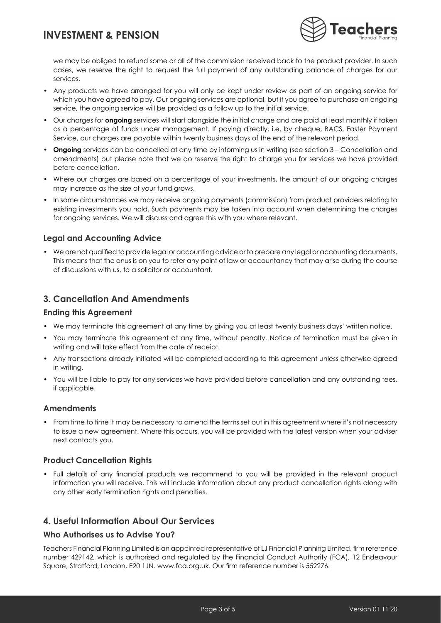

we may be obliged to refund some or all of the commission received back to the product provider. In such cases, we reserve the right to request the full payment of any outstanding balance of charges for our services.

- Any products we have arranged for you will only be kept under review as part of an ongoing service for which you have agreed to pay. Our ongoing services are optional, but if you agree to purchase an ongoing service, the ongoing service will be provided as a follow up to the initial service.
- Our charges for **ongoing** services will start alongside the initial charge and are paid at least monthly if taken as a percentage of funds under management. If paying directly, i.e. by cheque, BACS, Faster Payment Service, our charges are payable within twenty business days of the end of the relevant period.
- **Ongoing** services can be cancelled at any time by informing us in writing (see section 3 Cancellation and amendments) but please note that we do reserve the right to charge you for services we have provided before cancellation.
- Where our charges are based on a percentage of your investments, the amount of our ongoing charges may increase as the size of your fund grows.
- In some circumstances we may receive ongoing payments (commission) from product providers relating to existing investments you hold. Such payments may be taken into account when determining the charges for ongoing services. We will discuss and agree this with you where relevant.

### **Legal and Accounting Advice**

• We are not qualified to provide legal or accounting advice or to prepare any legal or accounting documents. This means that the onus is on you to refer any point of law or accountancy that may arise during the course of discussions with us, to a solicitor or accountant.

## **3. Cancellation And Amendments**

#### **Ending this Agreement**

- We may terminate this agreement at any time by giving you at least twenty business days' written notice.
- You may terminate this agreement at any time, without penalty. Notice of termination must be given in writing and will take effect from the date of receipt.
- Any transactions already initiated will be completed according to this agreement unless otherwise agreed in writing.
- You will be liable to pay for any services we have provided before cancellation and any outstanding fees, if applicable.

### **Amendments**

• From time to time it may be necessary to amend the terms set out in this agreement where it's not necessary to issue a new agreement. Where this occurs, you will be provided with the latest version when your adviser next contacts you.

### **Product Cancellation Rights**

• Full details of any financial products we recommend to you will be provided in the relevant product information you will receive. This will include information about any product cancellation rights along with any other early termination rights and penalties.

## **4. Useful Information About Our Services**

### **Who Authorises us to Advise You?**

Teachers Financial Planning Limited is an appointed representative of LJ Financial Planning Limited, firm reference number 429142, which is authorised and regulated by the Financial Conduct Authority (FCA), 12 Endeavour Square, Stratford, London, E20 1JN. www.fca.org.uk. Our firm reference number is 552276.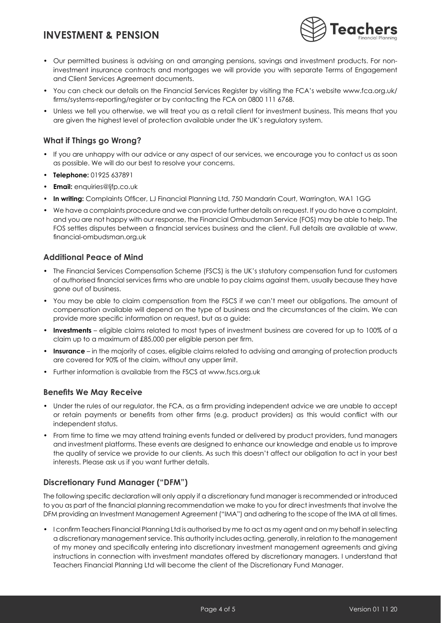

- Our permitted business is advising on and arranging pensions, savings and investment products. For noninvestment insurance contracts and mortgages we will provide you with separate Terms of Engagement and Client Services Agreement documents.
- You can check our details on the Financial Services Register by visiting the FCA's website www.fca.org.uk/ firms/systems-reporting/register or by contacting the FCA on 0800 111 6768.
- Unless we tell you otherwise, we will treat you as a retail client for investment business. This means that you are given the highest level of protection available under the UK's regulatory system.

### **What if Things go Wrong?**

- If you are unhappy with our advice or any aspect of our services, we encourage you to contact us as soon as possible. We will do our best to resolve your concerns.
- **Telephone:** 01925 637891
- **Email:** enquiries@ljfp.co.uk
- **In writing:** Complaints Officer, LJ Financial Planning Ltd, 750 Mandarin Court, Warrington, WA1 1GG
- We have a complaints procedure and we can provide further details on request. If you do have a complaint, and you are not happy with our response, the Financial Ombudsman Service (FOS) may be able to help. The FOS settles disputes between a financial services business and the client. Full details are available at www. financial-ombudsman.org.uk

### **Additional Peace of Mind**

- The Financial Services Compensation Scheme (FSCS) is the UK's statutory compensation fund for customers of authorised financial services firms who are unable to pay claims against them, usually because they have gone out of business.
- You may be able to claim compensation from the FSCS if we can't meet our obligations. The amount of compensation available will depend on the type of business and the circumstances of the claim. We can provide more specific information on request, but as a guide:
- **Investments** eligible claims related to most types of investment business are covered for up to 100% of a claim up to a maximum of £85,000 per eligible person per firm.
- **Insurance** in the majority of cases, eligible claims related to advising and arranging of protection products are covered for 90% of the claim, without any upper limit.
- Further information is available from the FSCS at [www.fscs.org.uk](http://www.fscs.org.uk)

#### **Benefits We May Receive**

- Under the rules of our regulator, the FCA, as a firm providing independent advice we are unable to accept or retain payments or benefits from other firms (e.g. product providers) as this would conflict with our independent status.
- From time to time we may attend training events funded or delivered by product providers, fund managers and investment platforms. These events are designed to enhance our knowledge and enable us to improve the quality of service we provide to our clients. As such this doesn't affect our obligation to act in your best interests. Please ask us if you want further details.

### **Discretionary Fund Manager ("DFM")**

The following specific declaration will only apply if a discretionary fund manager is recommended or introduced to you as part of the financial planning recommendation we make to you for direct investments that involve the DFM providing an Investment Management Agreement ("IMA") and adhering to the scope of the IMA at all times.

• I confirm Teachers Financial Planning Ltd is authorised by me to act as my agent and on my behalf in selecting a discretionary management service. This authority includes acting, generally, in relation to the management of my money and specifically entering into discretionary investment management agreements and giving instructions in connection with investment mandates offered by discretionary managers. I understand that Teachers Financial Planning Ltd will become the client of the Discretionary Fund Manager.